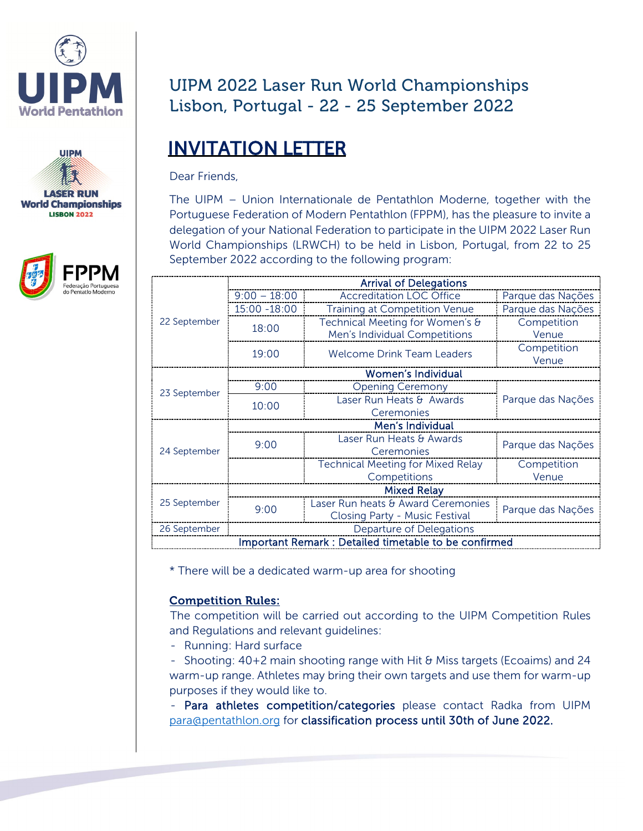





## UIPM 2022 Laser Run World Championships Lisbon, Portugal - 22 - 25 September 2022

# INVITATION LETTER

Dear Friends,

The UIPM – Union Internationale de Pentathlon Moderne, together with the Portuguese Federation of Modern Pentathlon (FPPM), has the pleasure to invite a delegation of your National Federation to participate in the UIPM 2022 Laser Run World Championships (LRWCH) to be held in Lisbon, Portugal, from 22 to 25 September 2022 according to the following program:

|                                                      | <b>Arrival of Delegations</b> |                                          |                   |  |  |
|------------------------------------------------------|-------------------------------|------------------------------------------|-------------------|--|--|
| 22 September                                         | $9:00 - 18:00$                | <b>Accreditation LOC Office</b>          | Parque das Nações |  |  |
|                                                      | 15:00 -18:00                  | <b>Training at Competition Venue</b>     | Parque das Nações |  |  |
|                                                      | 18:00                         | Technical Meeting for Women's &          | Competition       |  |  |
|                                                      |                               | Men's Individual Competitions            | Venue             |  |  |
|                                                      | 19:00                         | Welcome Drink Team Leaders               | Competition       |  |  |
| 23 September                                         |                               |                                          | Venue             |  |  |
|                                                      | <b>Women's Individual</b>     |                                          |                   |  |  |
|                                                      | 9:00                          | <b>Opening Ceremony</b>                  |                   |  |  |
|                                                      | 10:00                         | Laser Run Heats & Awards                 | Parque das Nações |  |  |
| 24 September                                         |                               | Ceremonies                               |                   |  |  |
|                                                      | Men's Individual              |                                          |                   |  |  |
|                                                      | 9:00                          | Laser Run Heats & Awards                 | Parque das Nações |  |  |
|                                                      |                               | Ceremonies                               |                   |  |  |
|                                                      |                               | <b>Technical Meeting for Mixed Relay</b> | Competition       |  |  |
| 25 September                                         |                               | Competitions                             | Venue             |  |  |
|                                                      | <b>Mixed Relay</b>            |                                          |                   |  |  |
|                                                      | 9:00                          | Laser Run heats & Award Ceremonies       | Parque das Nações |  |  |
|                                                      |                               | Closing Party - Music Festival           |                   |  |  |
| 26 September                                         | Departure of Delegations      |                                          |                   |  |  |
| Important Remark: Detailed timetable to be confirmed |                               |                                          |                   |  |  |

\* There will be a dedicated warm-up area for shooting

#### Competition Rules:

The competition will be carried out according to the UIPM Competition Rules and Regulations and relevant guidelines:

- Running: Hard surface

- Shooting: 40+2 main shooting range with Hit & Miss targets (Ecoaims) and 24 warm-up range. Athletes may bring their own targets and use them for warm-up purposes if they would like to.

- Para athletes competition/categories please contact Radka from UIPM [para@pentathlon.org](mailto:para@pentathlon.org) for classification process until 30th of June 2022.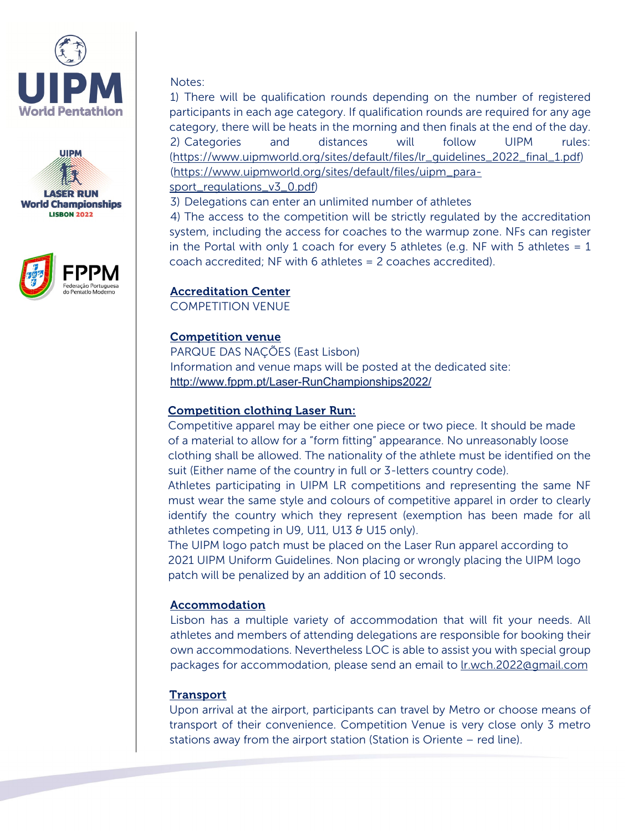





#### Notes:

1) There will be qualification rounds depending on the number of registered participants in each age category. If qualification rounds are required for any age category, there will be heats in the morning and then finals at the end of the day. 2) Categories and distances will follow UIPM rules: [\(https://www.uipmworld.org/sites/default/files/lr\\_guidelines\\_2022\\_final\\_1.pdf\)](https://www.uipmworld.org/sites/default/files/lr_guidelines_2022_final_1.pdf) [\(https://www.uipmworld.org/sites/default/files/uipm\\_para-](https://www.uipmworld.org/sites/default/files/uipm_para-sport_regulations_v3_0.pdf)

[sport\\_regulations\\_v3\\_0.pdf\)](https://www.uipmworld.org/sites/default/files/uipm_para-sport_regulations_v3_0.pdf)

3) Delegations can enter an unlimited number of athletes

4) The access to the competition will be strictly regulated by the accreditation system, including the access for coaches to the warmup zone. NFs can register in the Portal with only 1 coach for every 5 athletes (e.g. NF with 5 athletes  $= 1$ coach accredited; NF with 6 athletes = 2 coaches accredited).

#### Accreditation Center

COMPETITION VENUE

#### Competition venue

PARQUE DAS NAÇÕES (East Lisbon) Information and venue maps will be posted at the dedicated site: <http://www.fppm.pt/Laser-RunChampionships2022/>

#### Competition clothing Laser Run:

Competitive apparel may be either one piece or two piece. It should be made of a material to allow for a "form fitting" appearance. No unreasonably loose clothing shall be allowed. The nationality of the athlete must be identified on the suit (Either name of the country in full or 3-letters country code).

Athletes participating in UIPM LR competitions and representing the same NF must wear the same style and colours of competitive apparel in order to clearly identify the country which they represent (exemption has been made for all athletes competing in U9, U11, U13 & U15 only).

The UIPM logo patch must be placed on the Laser Run apparel according to 2021 UIPM Uniform Guidelines. Non placing or wrongly placing the UIPM logo patch will be penalized by an addition of 10 seconds.

#### Accommodation

Lisbon has a multiple variety of accommodation that will fit your needs. All athletes and members of attending delegations are responsible for booking their own accommodations. Nevertheless LOC is able to assist you with special group packages for accommodation, please send an email t[o lr.wch.2022@gmail.com](mailto:lr.wch.2022@gmail.com) 

#### **Transport**

Upon arrival at the airport, participants can travel by Metro or choose means of transport of their convenience. Competition Venue is very close only 3 metro stations away from the airport station (Station is Oriente – red line).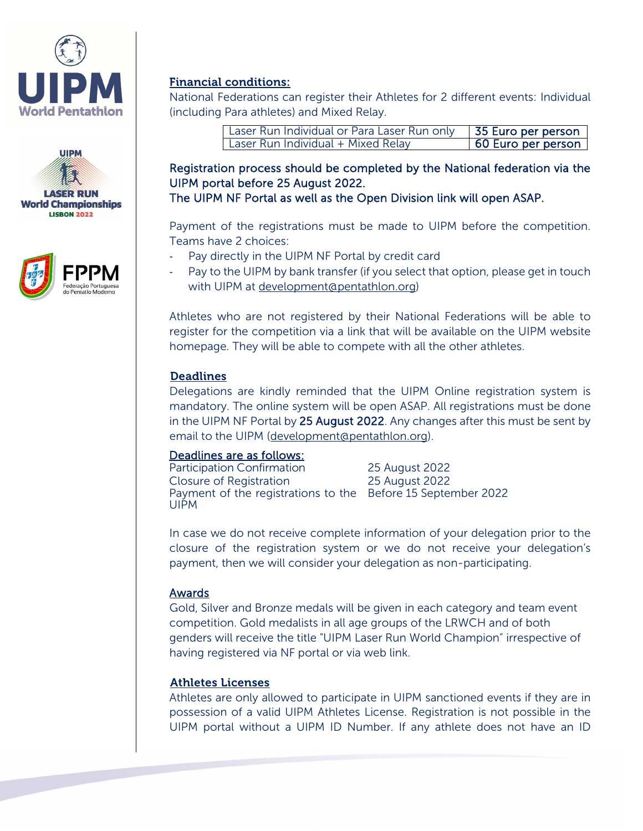





#### Financial conditions:

National Federations can register their Athletes for 2 different events: Individual (including Para athletes) and Mixed Relay.

| Laser Run Individual or Para Laser Run only | 55 Euro per person |
|---------------------------------------------|--------------------|
| Laser Run Individual + Mixed Relay          | 60 Euro per person |

### Registration process should be completed by the National federation via the UIPM portal before 25 August 2022.

The UIPM NF Portal as well as the Open Division link will open ASAP.

Payment of the registrations must be made to UIPM before the competition. Teams have 2 choices:

- Pay directly in the UIPM NF Portal by credit card
- Pay to the UIPM by bank transfer (if you select that option, please get in touch with UIPM at [development@pentathlon.org\)](mailto:development@pentathlon.org)

Athletes who are not registered by their National Federations will be able to register for the competition via a link that will be available on the UIPM website homepage. They will be able to compete with all the other athletes.

#### **Deadlines**

Delegations are kindly reminded that the UIPM Online registration system is mandatory. The online system will be open ASAP. All registrations must be done in the UIPM NF Portal by 25 August 2022. Any changes after this must be sent by email to the UIPM [\(development@pentathlon.org\)](mailto:development@pentathlon.org).

#### Deadlines are as follows:

Participation Confirmation 25 August 2022 Closure of Registration 25 August 2022 Payment of the registrations to the Before 15 September 2022UIPM

In case we do not receive complete information of your delegation prior to the closure of the registration system or we do not receive your delegation's payment, then we will consider your delegation as non-participating.

#### Awards

Gold, Silver and Bronze medals will be given in each category and team event competition. Gold medalists in all age groups of the LRWCH and of both genders will receive the title "UIPM Laser Run World Champion" irrespective of having registered via NF portal or via web link.

#### Athletes Licenses

Athletes are only allowed to participate in UIPM sanctioned events if they are in possession of a valid UIPM Athletes License. Registration is not possible in the UIPM portal without a UIPM ID Number. If any athlete does not have an ID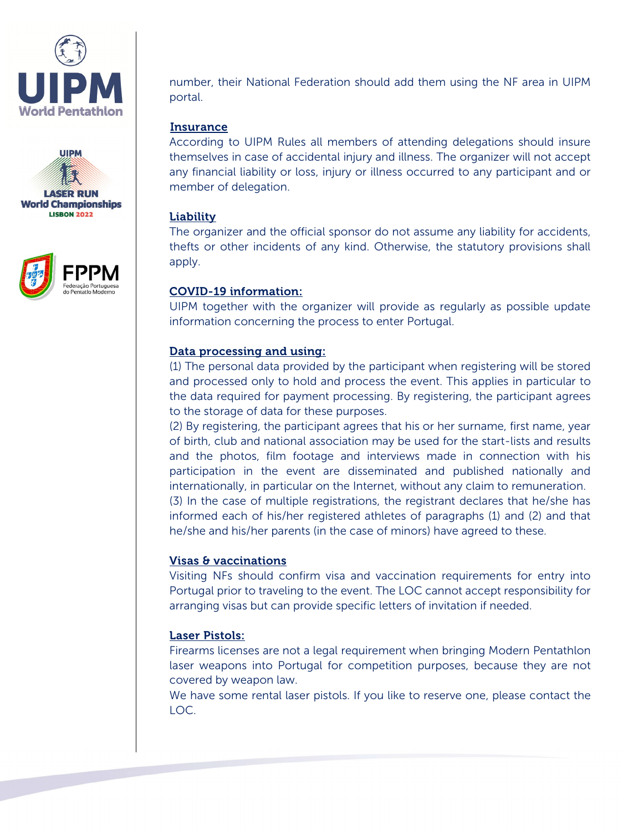





number, their National Federation should add them using the NF area in UIPM portal.

#### **Insurance**

According to UIPM Rules all members of attending delegations should insure themselves in case of accidental injury and illness. The organizer will not accept any financial liability or loss, injury or illness occurred to any participant and or member of delegation.

#### **Liability**

The organizer and the official sponsor do not assume any liability for accidents, thefts or other incidents of any kind. Otherwise, the statutory provisions shall apply.

#### COVID-19 information:

UIPM together with the organizer will provide as regularly as possible update information concerning the process to enter Portugal.

#### Data processing and using:

(1) The personal data provided by the participant when registering will be stored and processed only to hold and process the event. This applies in particular to the data required for payment processing. By registering, the participant agrees to the storage of data for these purposes.

(2) By registering, the participant agrees that his or her surname, first name, year of birth, club and national association may be used for the start-lists and results and the photos, film footage and interviews made in connection with his participation in the event are disseminated and published nationally and internationally, in particular on the Internet, without any claim to remuneration.

(3) In the case of multiple registrations, the registrant declares that he/she has informed each of his/her registered athletes of paragraphs (1) and (2) and that he/she and his/her parents (in the case of minors) have agreed to these.

#### Visas & vaccinations

Visiting NFs should confirm visa and vaccination requirements for entry into Portugal prior to traveling to the event. The LOC cannot accept responsibility for arranging visas but can provide specific letters of invitation if needed.

#### Laser Pistols:

Firearms licenses are not a legal requirement when bringing Modern Pentathlon laser weapons into Portugal for competition purposes, because they are not covered by weapon law.

We have some rental laser pistols. If you like to reserve one, please contact the LOC.